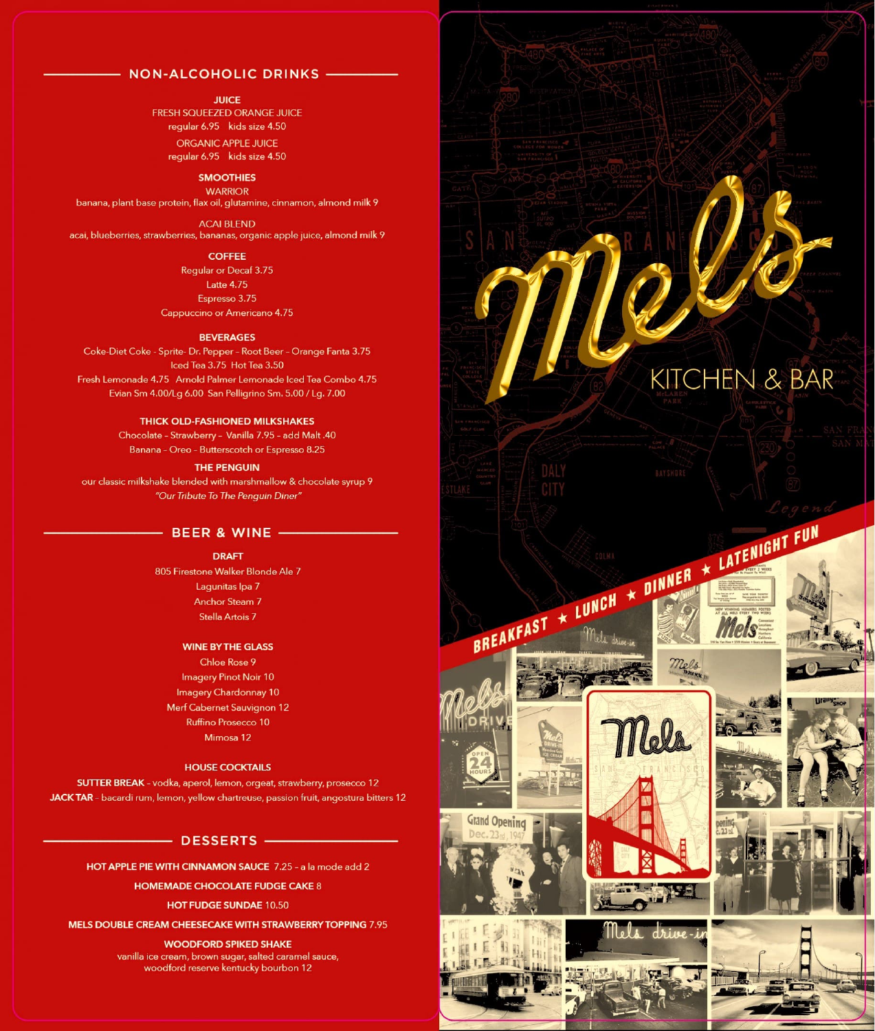## NON-ALCOHOLIC DRINKS -

#### **JUICE**

FRESH SQUEEZED ORANGE JUICE regular 6.95 kids size 4.50 ORGANIC APPLE JUICE

regular 6.95 kids size 4.50

# **SMOOTHIES**

**WARRIOR** banana, plant base protein, flax oil, glutamine, cinnamon, almond milk 9

ACAi BLEND acai, blueberries, strawberries, bananas, organic apple juice, almond milk 9

### **COFFEE**

Regular or Decaf 3.75 Latte 4.75 Espresso 3.75 Cappuccino or Americana 4.75

#### **BEVERAGES**

Coke-Diet Coke - Sprite- Dr. Pepper - Root Beer - Orange Fanta 3.75 Iced Tea 3.75 Hot Tea 3.50 Fresh Lemonade 4,75 Arnold Palmer Lemonade Iced Tea Combo 4.75 Evian Sm 4.00/Lg 6.00 San Pelligrino Sm, 5.00 *I* Lg. 7.00

#### THICK OLD-FASHIONED MILKSHAKES

Chocolate - Strawberry - Vanilla 7.95 - add Malt .40 Banana - Oreo - Butterscotch or Espresso 8.25

#### THE PENGUIN

our classic milkshake blended with marshmallow & chocolate syrup 9 "Our *Tribute To The Penguin Diner"* 

#### $-$  BEER & WINE  $-$

#### DRAFT

805 Firestone Walker Blonde Ale 7 Lagunitas lpa 7 Anchor Steam 7 Stella Artois 7

### WINE BY THE GLASS

Chloe Rose 9 **Imagery Pinot Noir 10** Imagery Chardonnay 10 Merf Cabernet Sauvignon 12 Ruffino Prosecco 10 Mimosa 12

### HOUSE COCKTAILS

SUTTER BREAK - vodka, aperol, lemon, orgeat, strawberry, prosecco 12 JACK TAR - bacardi rum, lemon, yellow chartreuse, passion fruit, angostura bitters 12

# $-$  DESSERTS  $-$

HOT APPLE PIE WITH CINNAMON SAUCE 7.25 - a la mode add 2

HOMEMADE CHOCOLATE FUDGE CAKE 8

### HOT FUDGE SUNDAE 10.50

MELS DOUBLE CREAM CHEESECAKE WITH STRAWBERRYTOPPING 7.95

### WOODFORD SPIKED SHAKE

vanilla ice cream, brown sugar, salted caramel sauce, woodford reserve kentucky bourbon 12